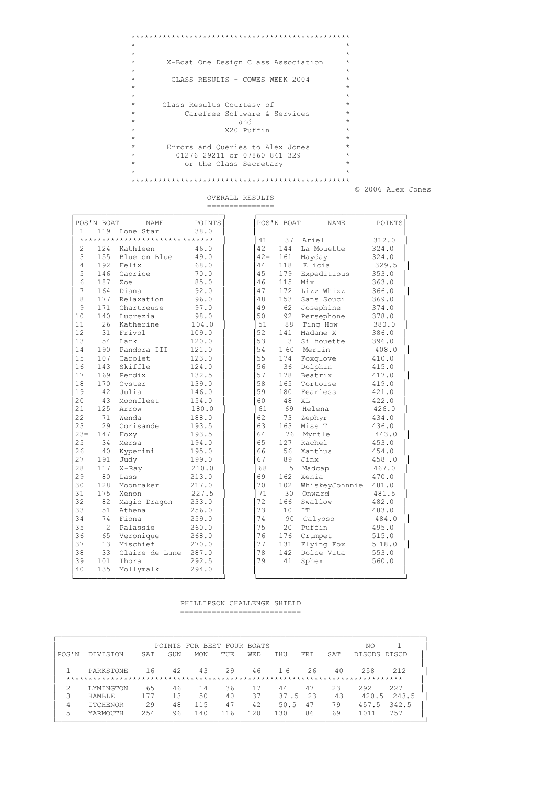```
*************************************************
\star \star\star \star* X-Boat One Design Class Association *
\star \star* CLASS RESULTS - COWES WEEK 2004 *
\star \star\star \star* Class Results Courtesy of *
* Carefree Software & Services *
\star and \star* X20 Puffin *
\star \star* Errors and Queries to Alex Jones *
* 01276 29211 or 07860 841 329 *
* or the Class Secretary *
\star \star*************************************************
```
© 2006 Alex Jones

|                | POS'N BOAT     | NAME                           | POINTS |
|----------------|----------------|--------------------------------|--------|
| 1              | 119            | Lone Star                      | 38.0   |
|                |                | ****************************** |        |
| $\overline{2}$ | 124            | Kathleen                       | 46.0   |
| 3              | 155            | Blue on Blue                   | 49.0   |
| 4              | 192            | Felix                          | 68.0   |
| 5              | 146            | Caprice                        | 70.0   |
| 6              | 187            | Zoe                            | 85.0   |
| 7              | 164            | Diana                          | 92.0   |
| 8              | 177            | Relaxation                     | 96.0   |
| 9              | 171            | Chartreuse                     | 97.0   |
| 10             | 140            | Lucrezia                       | 98.0   |
| 11             | 26             | Katherine                      | 104.0  |
| 12             | 31             | Frivol                         | 109.0  |
| 13             | 54             | Lark                           | 120.0  |
| 14             | 190            | Pandora III                    | 121.0  |
| 15             | 107            | Carolet                        | 123.0  |
| 16             | 143            | Skiffle                        | 124.0  |
| 17             | 169            | Perdix                         | 132.5  |
| 18             | 170            | Oyster                         | 139.0  |
| 19             | 42             | Julia                          | 146.0  |
| 20             | 43             | Moonfleet                      | 154.0  |
| 21             | 125            | Arrow                          | 180.0  |
| 22             | 71             | Wenda                          | 188.0  |
| 23             | 29             | Corisande                      | 193.5  |
| $23 =$         | 147            | Foxy                           | 193.5  |
| 25             | 34             | Mersa                          | 194.0  |
| 26             | 40             | Kyperini                       | 195.0  |
| 27             | 191            | Judy                           | 199.0  |
| 28             | 117            | $X$ -Ray                       | 210.0  |
| 29             | 80             | Lass                           | 213.0  |
| 30             | 128            | Moonraker                      | 217.0  |
| 31             | 175            | Xenon                          | 227.5  |
| 32             | 82             | Magic Dragon                   | 233.0  |
| 33             | 51             | Athena                         | 256.0  |
| 34             | 74             | Fiona                          | 259.0  |
| 35             | $\overline{c}$ | Palassie                       | 260.0  |
| 36             | 65             | Veronique                      | 268.0  |
| 37             | 13             | Mischief                       | 270.0  |
| 38             | 33             | Claire de Lune                 | 287.0  |
| 39             | 101            | Thora                          | 292.5  |
| 40             | 135            | Mollymalk                      | 294.0  |

OVERALL RESULTS ===============

PHILLIPSON CHALLENGE SHIELD ===========================

└─────────────────────────────────┘ └─────────────────────────────────┘

|       |                  |      |     | POINTS FOR BEST FOUR BOATS |      |            |      |            |     | ΝO           |       |
|-------|------------------|------|-----|----------------------------|------|------------|------|------------|-----|--------------|-------|
| POS'N | <b>DIVISION</b>  | SAT  | SUN | <b>MON</b>                 | TUE. | <b>WED</b> | THU  | <b>FRT</b> | SAT | DISCDS DISCD |       |
|       | <b>PARKSTONE</b> | 16   | 42  | 43                         | 29   | 46         | 16   | 26         | 40  | 258          | 212   |
|       |                  |      |     |                            |      |            |      |            |     |              |       |
|       | LYMINGTON        | 65   | 46  | 14                         | 36   | 17         | 44   | 47         | 23  | 292          | 227   |
| २     | <b>HAMBLE</b>    | 177  | 13  | 50                         | 40   | 37         | 37.5 | -23        | 43  | 420.5        | 243.5 |
| 4     | <b>ITCHENOR</b>  | 29   | 48  | 115                        | 47   | 42         | 50.5 | 47         | 79  | 457.5        | 342.5 |
| 5     | YARMOUTH         | 2.54 | 96  | 1.40                       | 116  | 120        | 130  | 86         | 69  | 1011         | 757   |
|       |                  |      |     |                            |      |            |      |            |     |              |       |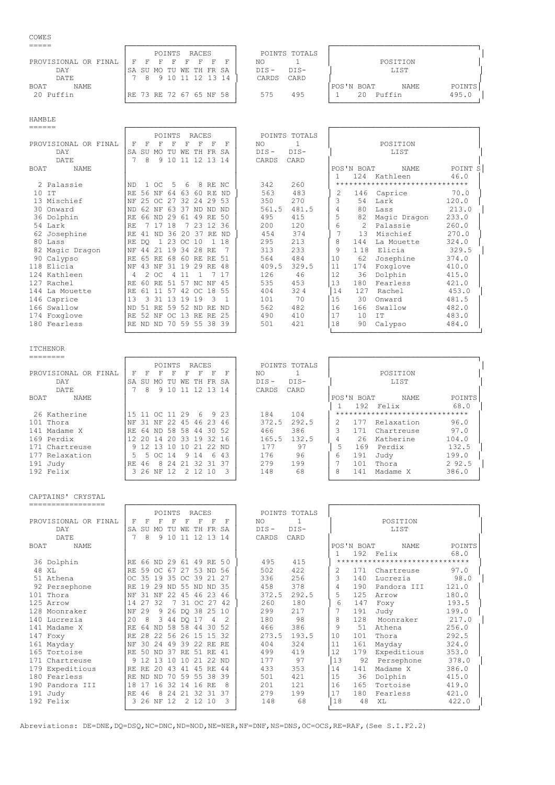## COWES

|                      | RACES<br>POINTS TOTALS<br>POINTS                         |  |
|----------------------|----------------------------------------------------------|--|
| PROVISIONAL OR FINAL | NO<br>POSITION<br>F<br>F.<br>F.<br><b>F</b><br>ਾ ਜਾ      |  |
| DAY                  | $DIS -$<br>DIS-<br>LIST<br>ISA SU MO TU WE TH FR SA      |  |
| DATE                 | CARD<br>12 13 14<br>1 N<br>CARDS<br>Q                    |  |
| NAME.<br><b>BOAT</b> | POINTS<br>POS'N BOAT<br>NAME                             |  |
| 20 Puffin            | 495.0<br>495<br>Puffin<br>RE 73 RE 72 67 65 NF 58<br>575 |  |
|                      |                                                          |  |

HAMBLE

| ______                     |                                                                                      |                        |
|----------------------------|--------------------------------------------------------------------------------------|------------------------|
|                            | POINTS<br><b>RACES</b><br>POINTS TOTALS                                              |                        |
| PROVISIONAL OR FINAL       | F<br>F<br>1<br>POSITION<br>F<br>F<br>NO.                                             |                        |
| DAY                        | DIS-<br>$DIS -$<br>LIST<br>SU<br>TH FR<br>SA<br>MO.<br>TU<br>WF.                     |                        |
| <b>DATE</b>                | 12, 13<br>8<br>9 1 0<br>11<br>CARDS<br>CARD<br>14                                    |                        |
| <b>NAME</b><br><b>BOAT</b> | POS'N BOAT<br><b>NAME</b>                                                            | POINT S                |
|                            | Kathleen<br>124                                                                      | 46.0                   |
| 2 Palassie                 | 260<br>342<br>$1 \circ C$<br>5<br>8 RE NC<br>6                                       | ********************** |
| 10 IT                      | 483<br>563<br>56<br>ΝF<br>64<br>63<br>60<br>2<br>146<br>Caprice<br><b>RE</b><br>-ND  | 70.0                   |
| 13 Mischief                | $\mathcal{L}$<br>270<br>32<br>29 53<br>350<br>Lark<br>25<br>OC 27<br>2.4<br>54       | 120.0                  |
| 30 Onward                  | 561.5<br>481.5<br>62<br>63<br>80<br>ΝF<br>37<br>ND ND<br>ND.<br>Lass                 | 213.0                  |
| 36 Dolphin                 | 5<br>495<br>415<br>49 RE 50<br>82<br>Magic Dragon<br>29<br>61<br>66 ND               | 233.0                  |
| 54 Lark                    | 6<br>120<br>23 12 36<br>200<br>Palassie<br>18<br>$\mathcal{L}$                       | 260.0                  |
| 62 Josephine               | 374<br>20 37<br>454<br>13<br>Mischief<br>ND 36<br>RE ND<br>41                        | 270.0                  |
| 80 Lass                    | 295<br>213<br>1 23 OC 10<br>8<br>18<br>144<br>La Mouette<br>1<br>DO.                 | 324.0                  |
| 82 Magic Dragon            | 233<br>$\circ$<br>313<br>1 1 8<br>Elicia<br>19<br>-34<br>28<br><b>RE</b><br>44<br>21 | 329.5                  |
| 90 Calypso                 | 564<br>484<br>10<br>62<br>65<br>68<br>60 RE RE 51<br>Josephine<br>RE.                | 374.0                  |
| 118 Elicia                 | 409.5<br>48<br>329.5<br>11<br>174<br>31<br>19<br>29 RF<br>Foxglove<br>43<br>NF       | 410.0                  |
| 124 Kathleen               | 12<br>126<br>46<br>36<br>Dolphin<br>-OC<br>11<br>4                                   | 415.0                  |
| 127 Rachel                 | 13<br>535<br>453<br>180<br>45<br>Fearless<br>60<br>51<br>57 NC NF<br>RE.             | 421.0                  |
| 144 La Mouette             | 32 4<br>14<br>404<br>127<br>42<br>18 55<br>Rachel<br>61<br>-57<br>11<br>OC           | 453.0                  |
| 146 Caprice                | 70<br>15<br>101<br>30<br>13<br>19<br>19<br>Onward<br>-31<br>3                        | 481.5                  |
| 166 Swallow                | 16<br>562<br>482<br>166<br>Swallow<br>.51<br>RF.<br>59 52<br>RF.<br>-ND<br>ND.       | 482.0                  |
| 174 Foxglove               | 17<br>13<br>-25<br>490<br>410<br>52<br>RE<br>10<br>IT<br>NF<br>OC<br>RE.             | 483.0                  |
| 180 Fearless               | 18<br>501<br>421<br>90<br>70 59 55<br>38<br>39<br>Calypso<br>ND<br>ND                | 484.0                  |
|                            |                                                                                      |                        |

└────────────────────────┘ └─────────────────────────────────┘

ITCHENOR

|                         |            |                    | POINTS |       | RACES             |          |      | POINTS TOTALS                                |
|-------------------------|------------|--------------------|--------|-------|-------------------|----------|------|----------------------------------------------|
| PROVISIONAL<br>OR FINAL | F          | F<br>F             | F      | F     | F                 | F        | F    | NO.<br>POSTTION                              |
| DAY                     | SA.<br>-SU | MO.                | TU     | WЕ    | TH.               | FR SA    |      | $DTS-$<br>LIST<br>$DIS -$                    |
| DATE                    |            | 8<br>9             | 10     |       | 12 13             |          | -14  | CARDS<br>CARD                                |
| NAME<br><b>BOAT</b>     |            |                    |        |       |                   |          |      | POINTS<br>POS'N BOAT<br>NAME                 |
|                         |            |                    |        |       |                   |          |      | 192 Felix<br>68.0                            |
| 26 Katherine            | 15 11      | oc 11              |        | 29    | - 6               |          | 9 23 | ******************************<br>104<br>184 |
| 101 Thora               | NF<br>-31  | ΝF                 |        | 22 45 | 46 23             |          | 46   | 372.5<br>292.5<br>96.0<br>Relaxation<br>-75  |
| 141 Madame X            | RF.<br>64  |                    |        |       | ND 58 58 44 30 52 |          |      | 386<br>97.0<br>466<br>3<br>171<br>Chartreuse |
| 169 Perdix              | 20         | 14                 | 20     |       | 33 19             | -32      | - 16 | 104.0<br>165.5<br>132.5<br>Katherine<br>26   |
| 171 Chartreuse          |            | 13                 | 10     | 10    | 21 22 ND          |          |      | 177<br>5<br>132.5<br>97<br>169<br>Perdix     |
| 177 Relaxation          |            | OC.                | 14     |       | 9 1 4             | <u>Г</u> | 43   | 199.0<br>176<br>96<br>6<br>191<br>Judy       |
| 191 Judy                | RF.<br>46  | 8                  | 24     | -21   | -32.              | -31      | - 37 | 279<br>199<br>2 92.5<br>101<br>Thora         |
| 192 Felix               |            | 3 26 NF 12 2 12 10 |        |       |                   |          | २    | 148<br>386.0<br>68<br>8<br>141<br>Madame X   |
|                         |            |                    |        |       |                   |          |      |                                              |

CAPTAINS' CRYSTAL

| =================          |     |         |                         |         |     |                  |                |     |         |               |               |            |                                |        |
|----------------------------|-----|---------|-------------------------|---------|-----|------------------|----------------|-----|---------|---------------|---------------|------------|--------------------------------|--------|
|                            |     |         |                         | POINTS  |     | RACES            |                |     |         | POINTS TOTALS |               |            |                                |        |
| PROVISIONAL OR FINAL       | F   | F       | F                       | F       | F   | F                | F              | F   | NO.     | -1            |               |            | POSITION                       |        |
| DAY                        | SA  | SU      | MO.                     | TU      | WF. | TH.              | FR SA          |     | $DTS -$ | $DIS-$        |               |            | <b>LIST</b>                    |        |
| DATE.                      | 7   | 8       | 9                       | 10      | -11 | 12, 13           |                | -14 | CARDS   | CARD          |               |            |                                |        |
| <b>NAME</b><br><b>BOAT</b> |     |         |                         |         |     |                  |                |     |         |               |               | POS'N BOAT | <b>NAME</b>                    | POINTS |
|                            |     |         |                         |         |     |                  |                |     |         |               |               | 192        | Felix                          | 68.0   |
| 36 Dolphin                 |     |         | RE 66 ND 29 61 49 RE 50 |         |     |                  |                |     | 495     | 415           |               |            | ****************************** |        |
| 48 XL                      | RF. | 59      | OC 67                   |         |     | 27 53 ND 56      |                |     | 502     | 422           | 2             | 171        | Chartreuse                     | 97.0   |
| 51 Athena                  |     |         | OC 35 19 35 OC 39 21    |         |     |                  |                | 27  | 336     | 256           | $\mathcal{L}$ | 140        | Lucrezia                       | 98.0   |
| 92 Persephone              | RE. | 19      | 29                      | ND.     |     | 55 ND ND 35      |                |     | 458     | 378           | 4             | 190        | Pandora III                    | 121.0  |
| 101 Thora                  | NF  | .31     | NF                      | 2.2     | 45  | 46 23            |                | -46 | 372.5   | 292.5         | 5.            | 125        | Arrow                          | 180.0  |
| 125 Arrow                  | 14  | 27      | 32                      | 7       | 31  | OC 27            |                | 42  | 260     | 180           | 6             | 147        | Foxy                           | 193.5  |
| 128 Moonraker              | NF  | 29      |                         |         |     | 9 26 DO 38 25 10 |                |     | 299     | 217           |               | 191        | Judy                           | 199.0  |
| 140 Lucrezia               | 2.0 | 8       |                         | 3 44 DO |     | 17               | $\overline{4}$ |     | 180     | 98            | 8             | 128        | Moonraker                      | 217.0  |
| 141 Madame X               | RF. | 64      | ND.                     |         |     | 58 58 44         | 30             | 52  | 466     | 386           | 9             | 51         | Athena                         | 256.0  |
| 147 Foxy                   | RF. | 2.8     | 22 56                   |         | 26  | 1.5              | 1.5            | 32  | 273.5   | 193.5         | 10            | 101        | Thora                          | 292.5  |
| 161 Mayday                 | NF  | 30      | 24                      | 49      | 39  | 22 RE            |                | RE. | 404     | 324           | 11            | 161        | Mayday                         | 324.0  |
| 165 Tortoise               | RE. |         | 50 ND 37                |         | RE. | 51 RE            |                | 41  | 499     | 419           | 12            | 179        | Expeditious                    | 353.0  |
| 171<br>Chartreuse          | 9   | 12      | 13 10                   |         | 10  | 21               | 2.2            | ND. | 177     | 97            | 13            | 92         | Persephone                     | 378.0  |
| 179 Expeditious            | RE. | RE.     | 20                      | 43      | 41  | 45               | RF.            | 44  | 433     | 353           | 14            | 141        | Madame X                       | 386.0  |
| 180 Fearless               | RF. | ND.     | ND.                     | 70      | 59  | 55               | 38             | 39  | 501     | 421           | 15            | 36         | Dolphin                        | 415.0  |
| 190 Pandora III            | 18  | 17      | 16                      | 32      | -14 | 16               | <b>RE</b>      | 8   | 201     | 121           | 16            | 165        | Tortoise                       | 419.0  |
| 191 Judy                   | RE. | 46      | 8                       | 2.4     | 2.1 | 32               | 31             | 37  | 279     | 199           | 17            | 180        | Fearless                       | 421.0  |
| $192$ Felix                |     | 3 26 NF |                         | 12      |     | 2 12 10          |                |     | 148     | 68            | 18            | 48         | XT.                            | 422.0  |
|                            |     |         |                         |         |     |                  |                |     |         |               |               |            |                                |        |

Abreviations: DE=DNE, DQ=DSQ, NC=DNC, ND=NOD, NE=NER, NF=DNF, NS=DNS, OC=OCS, RE=RAF, (See S.I.F2.2)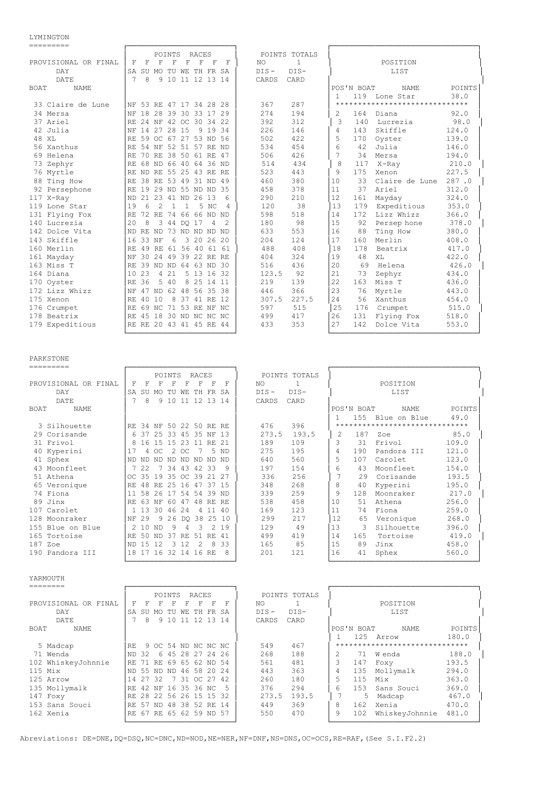LYMINGTON

| =========            |                         |       |                |        |              |                      |                |                |         |               |              |            |                                |        |
|----------------------|-------------------------|-------|----------------|--------|--------------|----------------------|----------------|----------------|---------|---------------|--------------|------------|--------------------------------|--------|
|                      |                         |       |                | POINTS |              | RACES                |                |                |         | POINTS TOTALS |              |            |                                |        |
| PROVISIONAL OR FINAL | F                       | F     | F              | F      | F            | F                    | F              | F              | NO.     | $\mathbf{1}$  |              |            | POSITION                       |        |
| <b>DAY</b>           | SA SU                   |       | <b>MO</b>      | TU     | WЕ           | TH FR SA             |                |                | $DIS -$ | $DIS-$        |              |            | LIST                           |        |
| DATE.                | 7                       | 8     |                |        |              | 9 10 11 12 13 14     |                |                | CARDS   | CARD          |              |            |                                |        |
| <b>BOAT</b><br>NAME. |                         |       |                |        |              |                      |                |                |         |               |              | POS'N BOAT | <b>NAME</b>                    | POINTS |
|                      |                         |       |                |        |              |                      |                |                |         |               | $\mathbf{1}$ |            | 119 Lone Star                  | 38.0   |
| 33 Claire de Lune    | NF 53 RE 47 17 34 28 28 |       |                |        |              |                      |                |                | 367     | 287           |              |            | ****************************** |        |
| 34 Mersa             | NF                      |       |                |        |              | 18 28 39 30 33 17 29 |                |                | 2.74    | 194           | 2            | 164        | Diana                          | 92.0   |
| 37 Ariel             | RF.                     |       |                |        |              | 24 NF 42 OC 30 34 22 |                |                | 392     | 312           | 3            | 140        | Lucrezia                       | 98.0   |
| 42 Julia             | NF                      |       | 14 27 28 15    |        |              | 9                    | 19 34          |                | 226     | 146           | 4            | 143        | Skiffle                        | 124.0  |
| 48 XL                | RF.                     |       |                |        |              | 59 OC 67 27 53 ND 56 |                |                | 502     | 422           | 5            | 170        | Oyster                         | 139.0  |
| 56 Xanthus           | RE.                     |       |                |        |              | 54 NF 52 51 57 RE ND |                |                | 534     | 454           | 6            | 42         | Julia                          | 146.0  |
| 69 Helena            | RF.                     |       |                |        |              | 70 RE 38 50 61 RE 47 |                |                | 506     | 426           | 7            | 34         | Mersa                          | 194.0  |
| 73 Zephyr            | RF.                     |       | 68 ND 66 40    |        |              |                      | 64 36 ND       |                | 514     | 434           | 8            | 117        | X-Ray                          | 210.0  |
| 76 Myrtle            | RE ND RE 55 25          |       |                |        |              | 43 RE RE             |                |                | 523     | 443           | 9            | 175        | Xenon                          | 227.5  |
| 88 Ting How          | RF.                     |       | 38 RE 53       |        |              | 49 31 ND 49          |                |                | 460     | 380           | 10           | 33         | Claire de Lune                 | 287.0  |
| 92 Persephone        | RF.                     | 19    |                |        |              | 29 ND 55 ND ND 35    |                |                | 458     | 378           | 11           | 37         | Ariel                          | 312.0  |
| 117 X-Ray            | <b>ND</b>               |       |                |        |              | 21 23 41 ND 26 13    |                | 6              | 290     | 210           | 12           | 161        | Mayday                         | 324.0  |
| 119 Lone Star        | 19                      | 6     | $\mathfrak{D}$ |        | $\mathbf{1}$ |                      | 5 NC           | $\overline{4}$ | 120     | 38            | 13           | 179        | Expeditious                    | 353.0  |
| 131 Flying Fox       | RF.                     |       | 72 RE          |        |              | 74 66 66 ND ND       |                |                | 598     | 518           | 14           | 172        | Lizz Whizz                     | 366.0  |
| 140 Lucrezia         | 20                      | 8     | 3              | 44     |              | DO 17                | $\overline{4}$ | $\mathcal{L}$  | 180     | 98            | 15           | 92         | Persep hone                    | 378.0  |
| 142 Dolce Vita       | <b>ND</b>               | RF.   | ND.            |        |              | 73 ND ND ND ND       |                |                | 633     | 553           | 16           | 88         | Ting How                       | 380.0  |
| 143 Skiffle          | 16                      | 33 NF |                | 6      | 3            |                      | 20 26 20       |                | 204     | 124           | 17           | 160        | Merlin                         | 408.0  |
| 160 Merlin           | RF.                     |       | 49 RE          |        |              | 61 56 40 61 61       |                |                | 488     | 408           | 18           | 178        | Beatrix                        | 417.0  |
| 161 Mayday           | NF                      |       |                |        |              | 30 24 49 39 22 RE RE |                |                | 404     | 324           | 19           | 48         | XT.                            | 422.0  |
| 163 Miss T           | RE.                     |       | 39 ND ND       |        |              | 64 63 ND 30          |                |                | 516     | 436           | 20           | 69         | Helena                         | 426.0  |
| 164 Diana            | 10                      | 23    |                | 4 21   |              | 5 13 16 32           |                |                | 123.5   | 92            | 21           | 73         | Zephyr                         | 434.0  |
| 170 Oyster           | RF.                     | 36    | 5              | 40     | 8            |                      | 25 14 11       |                | 219     | 139           | 2.2.         | 163        | Miss T                         | 436.0  |
| 172 Lizz Whizz       | NF                      | 47    | ND 62          |        | 48           |                      | 56 35 38       |                | 446     | 366           | 23           | 76         | Myrtle                         | 443.0  |
| 175 Xenon            | RF.                     | 40 10 |                | 8      | 37           |                      | 41 RE 12       |                | 307.5   | 227.5         | 24           | 56         | Xanthus                        | 454.0  |
| 176 Crumpet          | RE                      |       | 69 NC          |        |              | 71 53 RE NF NC       |                |                | 597     | 515           | 25           | 176        | Crumpet                        | 515.0  |
| 178 Beatrix          | RF.                     |       |                |        |              | 45 18 30 ND NC NC NC |                |                | 499     | 417           | 26           | 131        | Flying Fox                     | 518.0  |
| 179 Expeditious      | RE RE 20 43 41 45 RE 44 |       |                |        |              |                      |                |                | 433     | 353           | 2.7          | 142        | Dolce Vita                     | 553.0  |
|                      |                         |       |                |        |              |                      |                |                |         |               |              |            |                                |        |

### PARKSTONE

| =========                  |                               |          |       |        |     |                      |               |           |       |               |     |            |                                |        |
|----------------------------|-------------------------------|----------|-------|--------|-----|----------------------|---------------|-----------|-------|---------------|-----|------------|--------------------------------|--------|
|                            |                               |          |       | POINTS |     | <b>RACES</b>         |               |           |       | POINTS TOTALS |     |            |                                |        |
| PROVISIONAL OR FINAL       | F                             | F        | F     | F      |     | F                    | F             | F         | NO.   | 1             |     |            | POSITION                       |        |
| DAY                        | TH FR SA<br>SA SU MO TU<br>WЕ |          |       |        |     | $DIS -$              | $DIS-$        |           | LIST  |               |     |            |                                |        |
| DATE                       | 7                             | 8        | 9     | 10     | 11  |                      | 12 13         | -14       | CARDS | CARD          |     |            |                                |        |
| <b>BOAT</b><br><b>NAME</b> |                               |          |       |        |     |                      |               |           |       |               |     | POS'N BOAT | <b>NAME</b>                    | POINTS |
|                            |                               |          |       |        |     |                      |               |           |       |               |     | 155        | Blue on Blue                   | 49.0   |
| 3 Silhouette               | RF.                           | 34 NF    |       |        |     | 50 22 50 RE RE       |               |           | 476   | 396           |     |            | ****************************** |        |
| 29 Corisande               | 6                             | -37      | 2.5   | - 33   |     | 45 35 NF             |               | 13        | 273.5 | 193.5         | 2   | 187        | Zoe                            | 85.0   |
| 31 Frivol                  | 8                             | 16       | 1.5   | 1.5    | 23  |                      | 11 RE         | 21        | 189   | 109           | 3   | 31         | Frivol                         | 109.0  |
| 40 Kyperini                | 17                            | 4        | -OC   | 2      | OC. |                      | .5            | <b>ND</b> | 275   | 195           | 4   | 190        | Pandora III                    | 121.0  |
| 41 Sphex                   | ND.                           | ND.      | ND    | ND.    | ND. | ND.                  | ND ND         |           | 640   | 560           | 5   | 107        | Carolet                        | 123.0  |
| 43 Moonfleet               |                               | 2.2.     |       | 34     | 43  | 42 33                |               | 9         | 197   | 154           | 6   | 43         | Moonfleet                      | 154.0  |
| 51 Athena                  | $OC$ 35                       |          | 19    | -35    |     | OC 39                | 21 27         |           | 336   | 256           |     | 29         | Corisande                      | 193.5  |
| 65 Veronique               | RF.                           | 48       | RF.   | 25     | 16  | 47                   |               | 37 15     | 348   | 268           | 8   | 40         | Kyperini                       | 195.0  |
| 74 Fiona                   | 11                            | 58       | 26    | -17    | 54  | 54                   | 39            | ND.       | 339   | 259           | 9   | 128        | Moonraker                      | 217.0  |
| 89 Jinx                    | RF.                           | 63       | NF    | -60    | 47  | 48                   | RF.           | RF.       | 538   | 458           | 10  | 51         | Athena                         | 256.0  |
| 107 Carolet                |                               | $1 \t13$ | 30 46 |        | 2.4 | 4                    | 11 40         |           | 169   | 123           | 11  | 74         | Fiona                          | 259.0  |
| 128 Moonraker              | NF                            | 29       | 9     | 26     |     | DQ 38 25 10          |               |           | 299   | 217           | 12  | 65         | Veronique                      | 268.0  |
| 155 Blue on Blue           | $\mathcal{L}$                 | 10       | ND.   | 9      | 4   | 3                    | $\mathcal{L}$ | 19        | 129   | 49            | 13  | 3          | Silhouette                     | 396.0  |
| 165 Tortoise               | RF.                           | 50       | ND.   | 37     | RE. | 51                   | RF.           | -41       | 499   | 419           | 14  | 165        | Tortoise                       | 419.0  |
| 187 Zoe                    | ND 15                         |          | 12    | 3      | 12. | 2                    | 8             | 33        | 165   | 85            | 1.5 | 89         | Jinx                           | 458.0  |
| 190 Pandora III            |                               |          |       |        |     | 18 17 16 32 14 16 RE |               | 8         | 201   | 121           | 16  | 41         | Sphex                          | 560.0  |
|                            |                               |          |       |        |     |                      |               |           |       |               |     |            |                                |        |
|                            |                               |          |       |        |     |                      |               |           |       |               |     |            |                                |        |
| YARMOUTH                   |                               |          |       |        |     |                      |               |           |       |               |     |            |                                |        |
| ========                   |                               |          |       |        |     |                      |               |           |       |               |     |            |                                |        |

|                      |       |       |                         | POINTS |     | RACES            |   |    |         | POINTS TOTALS |   |            |                                |        |
|----------------------|-------|-------|-------------------------|--------|-----|------------------|---|----|---------|---------------|---|------------|--------------------------------|--------|
| PROVISIONAL OR FINAL | F     | F     |                         |        |     | F                | F | F  | NO.     |               |   |            | POSITION                       |        |
| DAY                  |       | SA SU | MO TU                   |        |     | WE TH FR SA      |   |    | $DIS -$ | $DIS-$        |   |            | LIST                           |        |
| DATE                 |       | 8     | 9                       | - 10   | -11 | 12 13 14         |   |    | CARDS   | CARD          |   |            |                                |        |
| <b>BOAT</b><br>NAME  |       |       |                         |        |     |                  |   |    |         |               |   | POS'N BOAT | NAME                           | POINTS |
|                      |       |       |                         |        |     |                  |   |    |         |               |   |            | 125 Arrow                      | 180.0  |
| 5 Madcap             | RF.   |       | 9 OC 54 ND NC NC NC     |        |     |                  |   |    | 549     | 467           |   |            | ****************************** |        |
| 71 Wenda             | ND 32 |       |                         |        |     | 6 45 28 27 24 26 |   |    | 268     | 188           |   | 71         | W enda                         | 188.0  |
| 102 WhiskeyJohnnie   |       |       | RE 71 RE 69 65 62 ND 54 |        |     |                  |   |    | 561     | 481           | 3 | 147        | Foxy                           | 193.5  |
| $115$ Mix            |       |       | ND 55 ND                | ND.    |     | 46 58 20 24      |   |    | 443     | 363           | 4 | 135        | Mollymalk                      | 294.0  |
| 125 Arrow            |       | 14 27 | -32                     |        |     | 7 31 OC 27 42    |   |    | 260     | 180           |   | 115        | Mix                            | 363.0  |
| 135 Mollymalk        |       | RE 42 | NF 16 35 36 NC          |        |     |                  |   | -5 | 376     | 294           | 6 | 153        | Sans Souci                     | 369.0  |
| 147 Foxy             |       | RE 28 | 22 56 26 15 15 32       |        |     |                  |   |    | 273.5   | 193.5         |   | 5          | Madcap                         | 467.0  |
| 153 Sans Souci       |       | RE 57 | ND 48 38 52 RE 14       |        |     |                  |   |    | 449     | 369           | 8 | 162        | Xenia                          | 470.0  |
| 162 Xenia            |       |       | RE 67 RE 65 62 59 ND 57 |        |     |                  |   |    | 550     | 470           | 9 | 102        | WhiskeyJohnnie                 | 481.0  |
|                      |       |       |                         |        |     |                  |   |    |         |               |   |            |                                |        |

Abreviations: DE=DNE,DQ=DSQ,NC=DNC,ND=NOD,NE=NER,NF=DNF,NS=DNS,OC=OCS,RE=RAF,(See S.I.F2.2)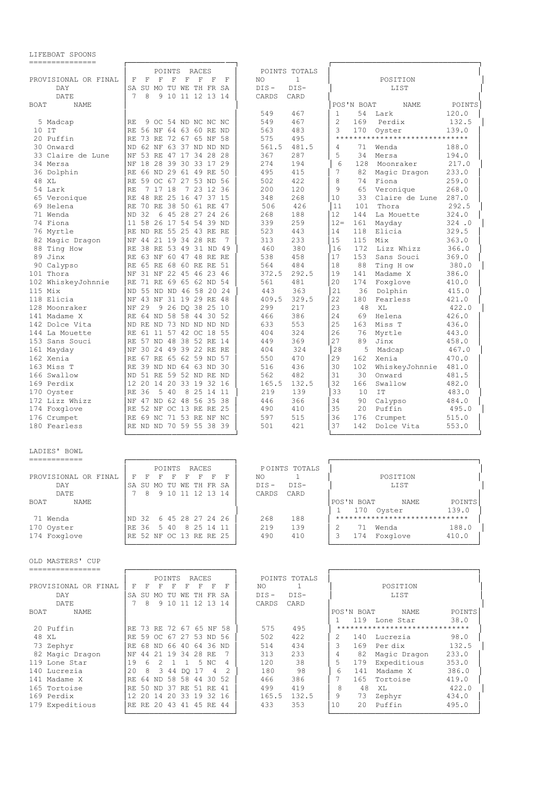| ---------------              |                                                                                                                           |                               |                                                                        |
|------------------------------|---------------------------------------------------------------------------------------------------------------------------|-------------------------------|------------------------------------------------------------------------|
|                              | POINTS<br>RACES                                                                                                           | POINTS TOTALS                 |                                                                        |
| PROVISIONAL OR FINAL         | F<br>F<br>F<br>F<br>F<br>F<br>F<br>– F                                                                                    | $\mathbf{1}$<br>ΝO            | POSITION                                                               |
| DAY                          | SA<br>SU MO TU WE TH FR SA                                                                                                | $DIS-$<br>$DIS -$             | LIST                                                                   |
| DATE                         | 7<br>8<br>9 10 11 12 13 14                                                                                                | CARDS<br>CARD                 |                                                                        |
| BOAT<br>NAME                 |                                                                                                                           |                               | POS'N BOAT<br>POINTS<br>NAME                                           |
|                              | 9 OC 54 ND NC NC NC                                                                                                       | 467<br>549<br>549<br>467      | 54<br>120.0<br>1<br>Lark<br>$\overline{2}$<br>Perdix                   |
| 5 Madcap<br>10 IT            | RE<br>RE 56 NF 64 63 60 RE ND                                                                                             | 483<br>563                    | 169<br>132.5<br>3<br>170<br>139.0                                      |
| 20 Puffin                    | RE 73 RE 72 67 65 NF 58                                                                                                   | 495<br>575                    | Oyster<br>*******************************                              |
| 30 Onward                    | 62 NF 63 37 ND ND ND<br><b>ND</b>                                                                                         | 561.5<br>481.5                | 4<br>71                                                                |
| 33 Claire de Lune            | 53 RE 47 17 34 28 28<br>NF                                                                                                | 367<br>287                    | 188.0<br>Wenda<br>5<br>194.0<br>34                                     |
| 34 Mersa                     | 18 28 39 30 33 17 29<br>NF                                                                                                | 274<br>194                    | Mersa<br>6<br>128<br>217.0<br>Moonraker                                |
| 36 Dolphin                   | 66 ND 29 61 49 RE 50<br><b>RE</b>                                                                                         | 495<br>415                    | 7<br>82<br>Magic Dragon<br>233.0                                       |
| 48 XL                        | RE 59 OC 67 27 53 ND 56                                                                                                   | 422<br>502                    | 8<br>74<br>Fiona<br>259.0                                              |
| 54 Lark                      | 7 17 18<br>7 23 12 36<br><b>RE</b>                                                                                        | 200<br>120                    | 9<br>65<br>Veronique<br>268.0                                          |
| 65 Veronique                 | 48 RE 25 16 47 37 15<br><b>RE</b>                                                                                         | 268<br>348                    | 10<br>33<br>Claire de Lune<br>287.0                                    |
| 69 Helena                    | 70 RE 38 50 61 RE 47<br>RE                                                                                                | 426<br>506                    | 11<br>Thora<br>292.5<br>101                                            |
| 71 Wenda                     | 32<br>45 28 27 24 26<br><b>ND</b><br>6                                                                                    | 188<br>268                    | 12<br>144<br>La Mouette<br>324.0                                       |
| 74 Fiona                     | 58 26 17 54 54 39 ND<br>11                                                                                                | 259<br>339                    | $12 =$<br>161<br>Mayday<br>324.0                                       |
| 76 Myrtle                    | ND RE 55 25 43 RE RE<br><b>RE</b>                                                                                         | 523<br>443                    | 14<br>118<br>Elicia<br>329.5                                           |
| 82 Magic Dragon              | 44 21 19 34 28 RE<br>NF<br>7                                                                                              | 233<br>313                    | 15<br>115<br>Mix<br>363.0                                              |
| 88 Ting How                  | <b>RE</b><br>38 RE 53 49 31 ND 49                                                                                         | 460<br>380                    | 16<br>172<br>Lizz Whizz<br>366.0                                       |
| 89 Jinx                      | RE 63 NF 60 47 48 RE RE                                                                                                   | 458<br>538                    | 17<br>153<br>Sans Souci<br>369.0                                       |
| 90 Calypso                   | <b>RE</b><br>65 RE 68 60 RE RE 51                                                                                         | 564<br>484                    | 18<br>88<br>Ting How<br>380.0                                          |
| 101 Thora                    | NF<br>31 NF 22 45 46 23 46                                                                                                | 372.5<br>292.5                | 19<br>Madame X<br>386.0<br>141                                         |
| 102 WhiskeyJohnnie           | <b>RE</b><br>71 RE 69 65 62 ND 54                                                                                         | 561<br>481                    | 20<br>174<br>Foxglove<br>410.0                                         |
| 115 Mix                      | 55 ND ND 46 58 20 24<br><b>ND</b>                                                                                         | 443<br>363                    | 21<br>36<br>Dolphin<br>415.0                                           |
| 118 Elicia                   | 43 NF 31 19 29 RE 48<br>NF                                                                                                | 409.5<br>329.5                | 22<br>180<br>Fearless<br>421.0                                         |
| 128 Moonraker                | 9 26 DO 38 25 10<br>NF 29                                                                                                 | 299<br>217                    | 23<br>48<br>422.0<br>XL                                                |
| 141 Madame X                 | RE<br>64 ND 58 58 44 30 52                                                                                                | 386<br>466                    | 24<br>69<br>Helena<br>426.0                                            |
| 142 Dolce Vita               | ND RE ND 73 ND ND ND ND                                                                                                   | 633<br>553                    | 25<br>163<br>Miss T<br>436.0                                           |
| 144 La Mouette               | 61 11 57 42 OC 18 55<br>RE                                                                                                | 404<br>324                    | 26<br>76<br>Myrtle<br>443.0                                            |
| 153 Sans Souci               | 57 ND 48 38 52 RE 14<br><b>RE</b>                                                                                         | 369<br>449                    | 27<br>89<br>Jinx<br>458.0                                              |
| 161 Mayday                   | 30 24 49 39 22 RE RE<br>NF                                                                                                | 404<br>324                    | 28<br>5<br>467.0<br>Madcap                                             |
| 162 Xenia                    | 67 RE 65 62 59 ND 57<br><b>RE</b>                                                                                         | 550<br>470                    | 29<br>470.0<br>162<br>Xenia                                            |
| 163 Miss T                   | 39 ND ND 64 63 ND 30<br><b>RE</b>                                                                                         | 516<br>436                    | 30<br>102<br>WhiskeyJohnnie<br>481.0                                   |
| 166 Swallow                  | ND 51 RE 59 52 ND RE ND                                                                                                   | 482<br>562                    | 31<br>30<br>Onward<br>481.5                                            |
| 169 Perdix                   | 12<br>20 14 20 33 19 32 16                                                                                                | 165.5<br>132.5                | 32<br>482.0<br>166<br>Swallow                                          |
| 170 Oyster                   | 5 40<br>8 25 14 11<br><b>RE</b><br>36                                                                                     | 219<br>139                    | 33<br>10<br>IT<br>483.0                                                |
| 172 Lizz Whizz               | 47 ND 62 48 56 35 38<br>NF                                                                                                | 366<br>446                    | 34<br>90<br>Calypso<br>484.0                                           |
| 174 Foxglove                 | 52 NF OC 13 RE RE 25<br><b>RE</b>                                                                                         | 490<br>410                    | 35<br>20<br>Puffin<br>495.0                                            |
| 176 Crumpet                  | 69 NC 71 53 RE NF NC<br>RE                                                                                                | 597<br>515                    | 36<br>176<br>Crumpet<br>515.0                                          |
| 180 Fearless                 | RE ND ND 70 59 55 38 39                                                                                                   | 421<br>501                    | 37<br>142<br>Dolce Vita<br>553.0                                       |
| LADIES' BOWL<br>------------ |                                                                                                                           |                               |                                                                        |
|                              | POINTS<br>RACES                                                                                                           | POINTS TOTALS                 |                                                                        |
| PROVISIONAL OR FINAL         | $F \tF$<br>$F -$<br>$\begin{array}{lllllllll} \textbf{F} & \textbf{F} & \textbf{F} & \textbf{F} & \textbf{F} \end{array}$ | ΝO<br>$\mathbf{1}$            | POSITION                                                               |
| DAY                          | SA SU MO TU WE TH FR SA                                                                                                   | DIS-<br>DIS-                  | LIST                                                                   |
| DATE                         | 7 8 9 10 11 12 13 14                                                                                                      | CARDS<br>CARD                 |                                                                        |
| BOAT<br><b>NAME</b>          |                                                                                                                           |                               | POS'N BOAT<br>NAME<br>POINTS                                           |
|                              |                                                                                                                           |                               | 170 Oyster<br>139.0<br>$\mathbf{1}$<br>******************************* |
| 71 Wenda                     | ND 32 6 45 28 27 24 26<br>RE 36 5 40 8 25 14 11                                                                           | 268<br>188<br>219<br>139      | 2<br>71 Wenda<br>188.0                                                 |
| 170 Oyster<br>174 Foxglove   | RE 52 NF OC 13 RE RE 25                                                                                                   | 490<br>410                    | 3<br>174 Foxglove<br>410.0                                             |
|                              |                                                                                                                           |                               |                                                                        |
| OLD MASTERS' CUP             |                                                                                                                           |                               |                                                                        |
| ================             |                                                                                                                           |                               |                                                                        |
| PROVISIONAL OR FINAL         | POINTS RACES                                                                                                              | POINTS TOTALS<br>NO.<br>1     | POSITION                                                               |
| DAY                          | F F F F F F F F                                                                                                           |                               |                                                                        |
| DATE                         | SA SU MO TU WE TH FR SA<br>7 8 9 10 11 12 13 14                                                                           | DIS-<br>DIS-<br>CARD<br>CARDS | LIST                                                                   |
|                              |                                                                                                                           |                               |                                                                        |
| BOAT<br>NAME                 |                                                                                                                           |                               | POS'N BOAT<br>NAME<br>POINTS<br>119 Lone Star<br>38.0<br>1.            |
| 20 Puffin                    | RE 73 RE 72 67 65 NF 58                                                                                                   | 575<br>495                    | *******************************                                        |
| 48 XL                        | RE 59 OC 67 27 53 ND 56                                                                                                   | 502<br>422                    | 140 Lucrezia<br>2<br>98.0                                              |
| 73 Zephyr                    | RE 68 ND 66 40 64 36 ND                                                                                                   | 514<br>434                    | 3<br>169 Perdix<br>132.5                                               |
| 82 Magic Dragon              | NF 44 21 19 34 28 RE<br>- 7                                                                                               | 313<br>233                    | 4<br>82 Magic Dragon<br>233.0                                          |
| 119 Lone Star                | 19  6  2  1  1  5  NC<br>4                                                                                                | 120<br>38                     | 5<br>179 Expeditious<br>353.0                                          |
| 140 Lucrezia                 | 20 8 3 44 DQ 17 4 2                                                                                                       | 180<br>98                     | 6<br>141 Madame X<br>386.0                                             |
| 141 Madame X                 | RE 64 ND 58 58 44 30 52                                                                                                   | 466<br>386                    | 7<br>165<br>Tortoise<br>419.0                                          |
| 165 Tortoise                 | RE 50 ND 37 RE 51 RE 41                                                                                                   | 499<br>419                    | 8<br>48 XL<br>422.0                                                    |
| 169 Perdix                   | 12 20 14 20 33 19 32 16                                                                                                   | 165.5<br>132.5                | 9<br>73<br>Zephyr<br>434.0                                             |
| 179 Expeditious              | RE RE 20 43 41 45 RE 44                                                                                                   | 353<br>433                    | 20 Puffin<br>10<br>495.0                                               |

└────────────────────────┘ └─────────────────────────────────┘